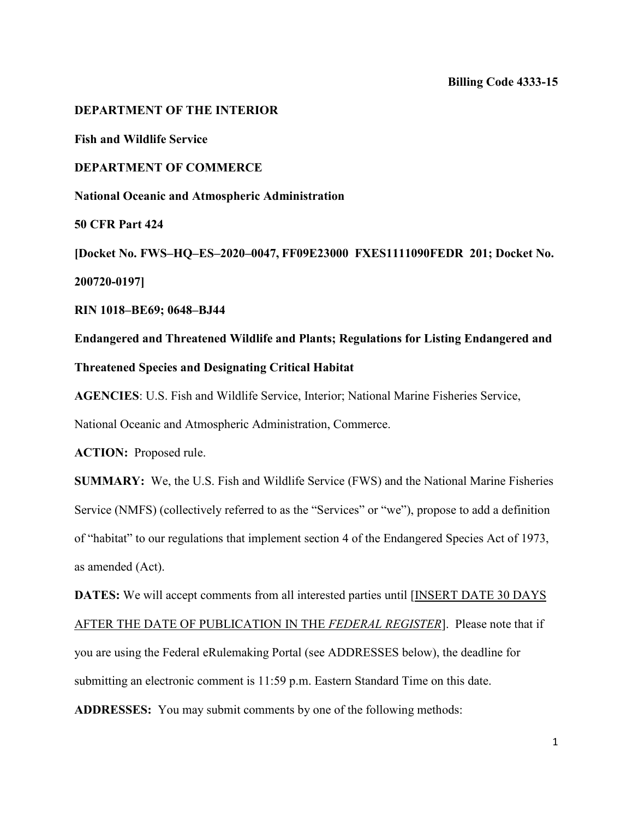**DEPARTMENT OF THE INTERIOR Fish and Wildlife Service DEPARTMENT OF COMMERCE National Oceanic and Atmospheric Administration 50 CFR Part 424 [Docket No. FWS–HQ–ES–2020–0047, FF09E23000 FXES1111090FEDR 201; Docket No. 200720-0197]**

**RIN 1018–BE69; 0648–BJ44**

**Endangered and Threatened Wildlife and Plants; Regulations for Listing Endangered and Threatened Species and Designating Critical Habitat**

**AGENCIES**: U.S. Fish and Wildlife Service, Interior; National Marine Fisheries Service,

National Oceanic and Atmospheric Administration, Commerce.

**ACTION:** Proposed rule.

**SUMMARY:** We, the U.S. Fish and Wildlife Service (FWS) and the National Marine Fisheries Service (NMFS) (collectively referred to as the "Services" or "we"), propose to add a definition of "habitat" to our regulations that implement section 4 of the Endangered Species Act of 1973, as amended (Act).

**DATES:** We will accept comments from all interested parties until [INSERT DATE 30 DAYS

AFTER THE DATE OF PUBLICATION IN THE *FEDERAL REGISTER*]. Please note that if you are using the Federal eRulemaking Portal (see ADDRESSES below), the deadline for submitting an electronic comment is 11:59 p.m. Eastern Standard Time on this date.

**ADDRESSES:** You may submit comments by one of the following methods: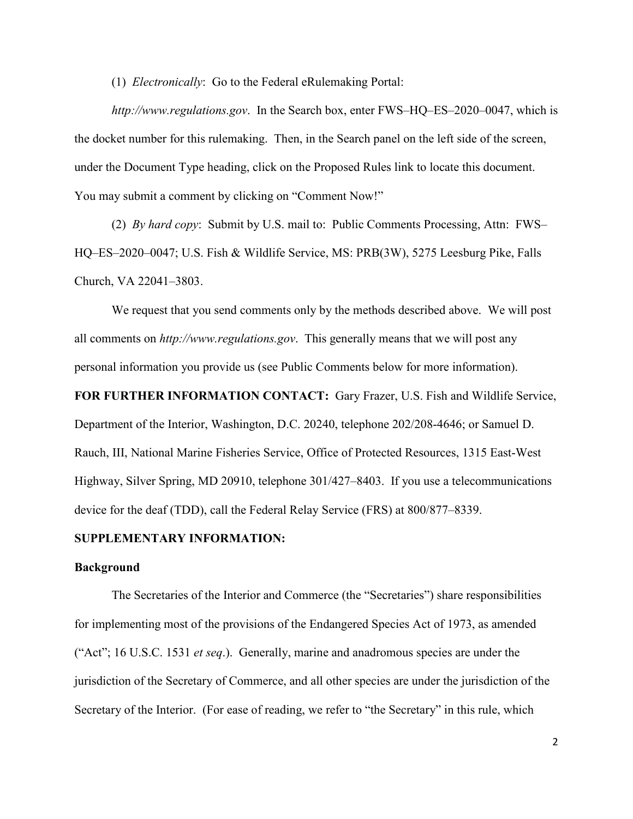(1) *Electronically*: Go to the Federal eRulemaking Portal:

*http://www.regulations.gov*. In the Search box, enter FWS–HQ–ES–2020–0047, which is the docket number for this rulemaking. Then, in the Search panel on the left side of the screen, under the Document Type heading, click on the Proposed Rules link to locate this document. You may submit a comment by clicking on "Comment Now!"

(2) *By hard copy*: Submit by U.S. mail to: Public Comments Processing, Attn: FWS– HQ–ES–2020–0047; U.S. Fish & Wildlife Service, MS: PRB(3W), 5275 Leesburg Pike, Falls Church, VA 22041–3803.

We request that you send comments only by the methods described above. We will post all comments on *http://www.regulations.gov*. This generally means that we will post any personal information you provide us (see Public Comments below for more information).

**FOR FURTHER INFORMATION CONTACT:** Gary Frazer, U.S. Fish and Wildlife Service, Department of the Interior, Washington, D.C. 20240, telephone 202/208-4646; or Samuel D. Rauch, III, National Marine Fisheries Service, Office of Protected Resources, 1315 East-West Highway, Silver Spring, MD 20910, telephone 301/427–8403. If you use a telecommunications device for the deaf (TDD), call the Federal Relay Service (FRS) at 800/877–8339.

### **SUPPLEMENTARY INFORMATION:**

#### **Background**

The Secretaries of the Interior and Commerce (the "Secretaries") share responsibilities for implementing most of the provisions of the Endangered Species Act of 1973, as amended ("Act"; 16 U.S.C. 1531 *et seq*.). Generally, marine and anadromous species are under the jurisdiction of the Secretary of Commerce, and all other species are under the jurisdiction of the Secretary of the Interior. (For ease of reading, we refer to "the Secretary" in this rule, which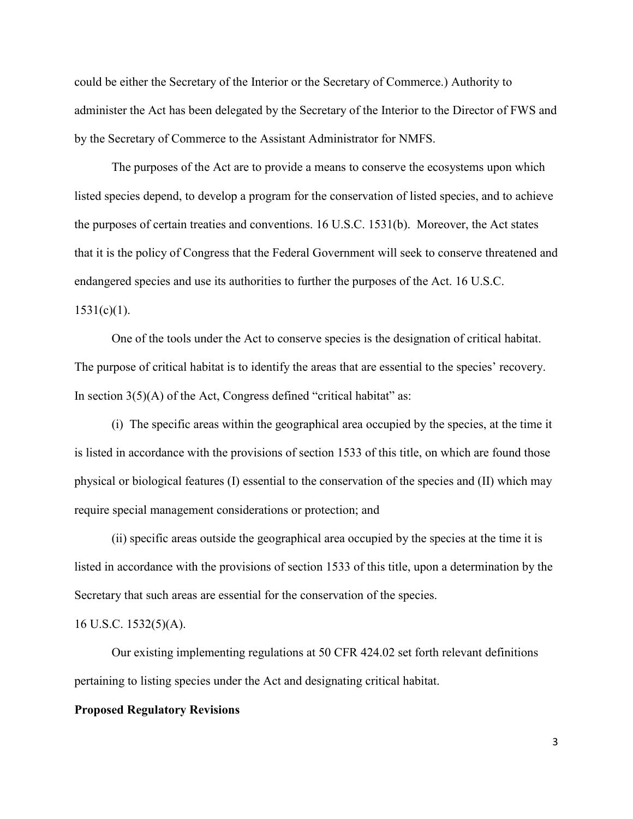could be either the Secretary of the Interior or the Secretary of Commerce.) Authority to administer the Act has been delegated by the Secretary of the Interior to the Director of FWS and by the Secretary of Commerce to the Assistant Administrator for NMFS.

The purposes of the Act are to provide a means to conserve the ecosystems upon which listed species depend, to develop a program for the conservation of listed species, and to achieve the purposes of certain treaties and conventions. 16 U.S.C. 1531(b). Moreover, the Act states that it is the policy of Congress that the Federal Government will seek to conserve threatened and endangered species and use its authorities to further the purposes of the Act. 16 U.S.C.  $1531(c)(1)$ .

One of the tools under the Act to conserve species is the designation of critical habitat. The purpose of critical habitat is to identify the areas that are essential to the species' recovery. In section  $3(5)(A)$  of the Act, Congress defined "critical habitat" as:

(i) The specific areas within the geographical area occupied by the species, at the time it is listed in accordance with the provisions of section 1533 of this title, on which are found those physical or biological features (I) essential to the conservation of the species and (II) which may require special management considerations or protection; and

(ii) specific areas outside the geographical area occupied by the species at the time it is listed in accordance with the provisions of section 1533 of this title, upon a determination by the Secretary that such areas are essential for the conservation of the species.

### 16 U.S.C. 1532(5)(A).

Our existing implementing regulations at 50 CFR 424.02 set forth relevant definitions pertaining to listing species under the Act and designating critical habitat.

#### **Proposed Regulatory Revisions**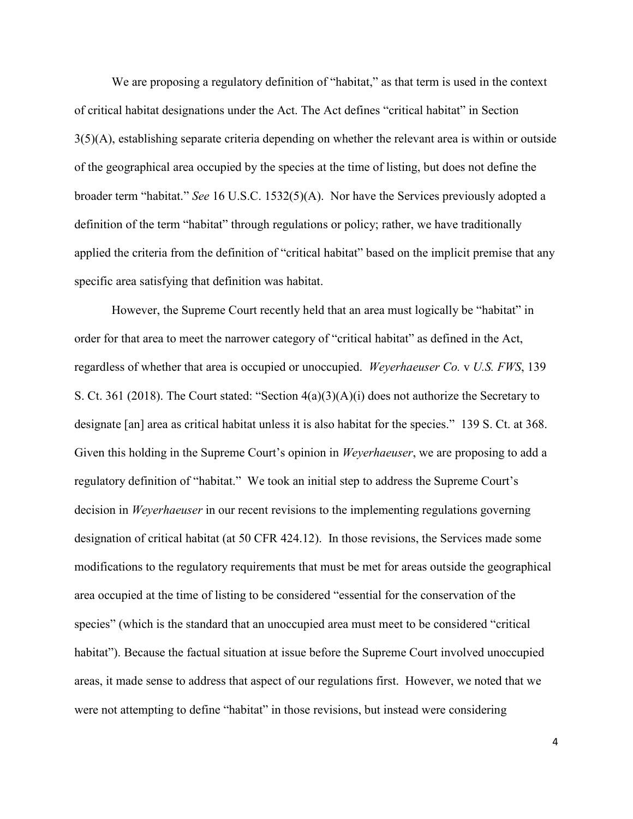We are proposing a regulatory definition of "habitat," as that term is used in the context of critical habitat designations under the Act. The Act defines "critical habitat" in Section  $3(5)(A)$ , establishing separate criteria depending on whether the relevant area is within or outside of the geographical area occupied by the species at the time of listing, but does not define the broader term "habitat." *See* 16 U.S.C. 1532(5)(A). Nor have the Services previously adopted a definition of the term "habitat" through regulations or policy; rather, we have traditionally applied the criteria from the definition of "critical habitat" based on the implicit premise that any specific area satisfying that definition was habitat.

However, the Supreme Court recently held that an area must logically be "habitat" in order for that area to meet the narrower category of "critical habitat" as defined in the Act, regardless of whether that area is occupied or unoccupied. *Weyerhaeuser Co.* v *U.S. FWS*, 139 S. Ct. 361 (2018). The Court stated: "Section 4(a)(3)(A)(i) does not authorize the Secretary to designate [an] area as critical habitat unless it is also habitat for the species." 139 S. Ct. at 368. Given this holding in the Supreme Court's opinion in *Weyerhaeuser*, we are proposing to add a regulatory definition of "habitat." We took an initial step to address the Supreme Court's decision in *Weyerhaeuser* in our recent revisions to the implementing regulations governing designation of critical habitat (at 50 CFR 424.12). In those revisions, the Services made some modifications to the regulatory requirements that must be met for areas outside the geographical area occupied at the time of listing to be considered "essential for the conservation of the species" (which is the standard that an unoccupied area must meet to be considered "critical habitat"). Because the factual situation at issue before the Supreme Court involved unoccupied areas, it made sense to address that aspect of our regulations first. However, we noted that we were not attempting to define "habitat" in those revisions, but instead were considering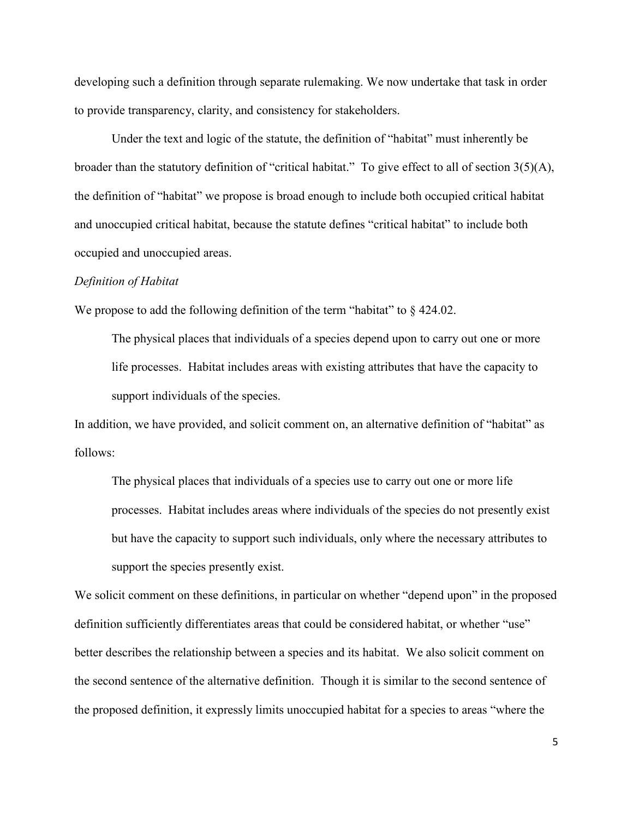developing such a definition through separate rulemaking. We now undertake that task in order to provide transparency, clarity, and consistency for stakeholders.

Under the text and logic of the statute, the definition of "habitat" must inherently be broader than the statutory definition of "critical habitat." To give effect to all of section 3(5)(A), the definition of "habitat" we propose is broad enough to include both occupied critical habitat and unoccupied critical habitat, because the statute defines "critical habitat" to include both occupied and unoccupied areas.

#### *Definition of Habitat*

We propose to add the following definition of the term "habitat" to  $\S$  424.02.

The physical places that individuals of a species depend upon to carry out one or more life processes. Habitat includes areas with existing attributes that have the capacity to support individuals of the species.

In addition, we have provided, and solicit comment on, an alternative definition of "habitat" as follows:

The physical places that individuals of a species use to carry out one or more life processes. Habitat includes areas where individuals of the species do not presently exist but have the capacity to support such individuals, only where the necessary attributes to support the species presently exist.

We solicit comment on these definitions, in particular on whether "depend upon" in the proposed definition sufficiently differentiates areas that could be considered habitat, or whether "use" better describes the relationship between a species and its habitat. We also solicit comment on the second sentence of the alternative definition. Though it is similar to the second sentence of the proposed definition, it expressly limits unoccupied habitat for a species to areas "where the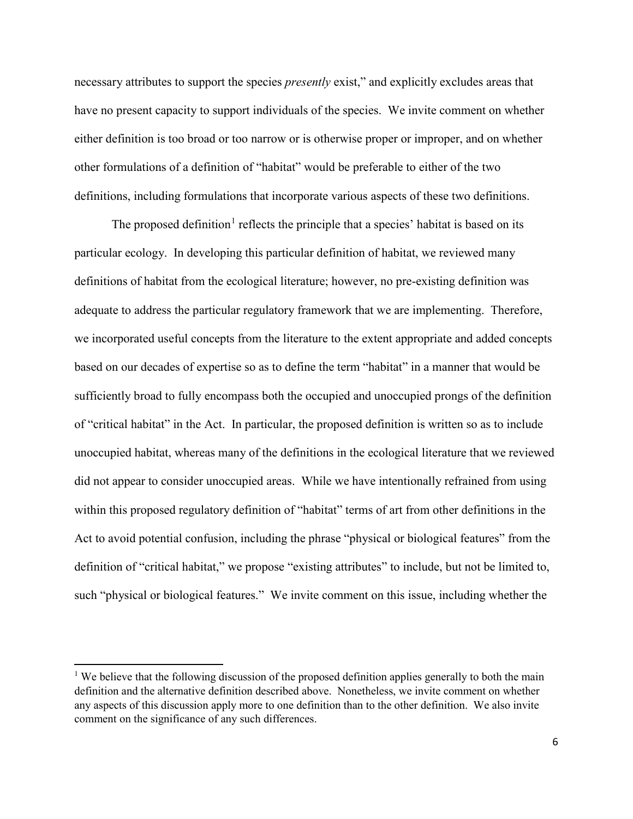necessary attributes to support the species *presently* exist," and explicitly excludes areas that have no present capacity to support individuals of the species. We invite comment on whether either definition is too broad or too narrow or is otherwise proper or improper, and on whether other formulations of a definition of "habitat" would be preferable to either of the two definitions, including formulations that incorporate various aspects of these two definitions.

The proposed definition<sup>[1](#page-5-0)</sup> reflects the principle that a species' habitat is based on its particular ecology. In developing this particular definition of habitat, we reviewed many definitions of habitat from the ecological literature; however, no pre-existing definition was adequate to address the particular regulatory framework that we are implementing. Therefore, we incorporated useful concepts from the literature to the extent appropriate and added concepts based on our decades of expertise so as to define the term "habitat" in a manner that would be sufficiently broad to fully encompass both the occupied and unoccupied prongs of the definition of "critical habitat" in the Act. In particular, the proposed definition is written so as to include unoccupied habitat, whereas many of the definitions in the ecological literature that we reviewed did not appear to consider unoccupied areas. While we have intentionally refrained from using within this proposed regulatory definition of "habitat" terms of art from other definitions in the Act to avoid potential confusion, including the phrase "physical or biological features" from the definition of "critical habitat," we propose "existing attributes" to include, but not be limited to, such "physical or biological features." We invite comment on this issue, including whether the

 $\overline{a}$ 

<span id="page-5-0"></span><sup>&</sup>lt;sup>1</sup> We believe that the following discussion of the proposed definition applies generally to both the main definition and the alternative definition described above. Nonetheless, we invite comment on whether any aspects of this discussion apply more to one definition than to the other definition. We also invite comment on the significance of any such differences.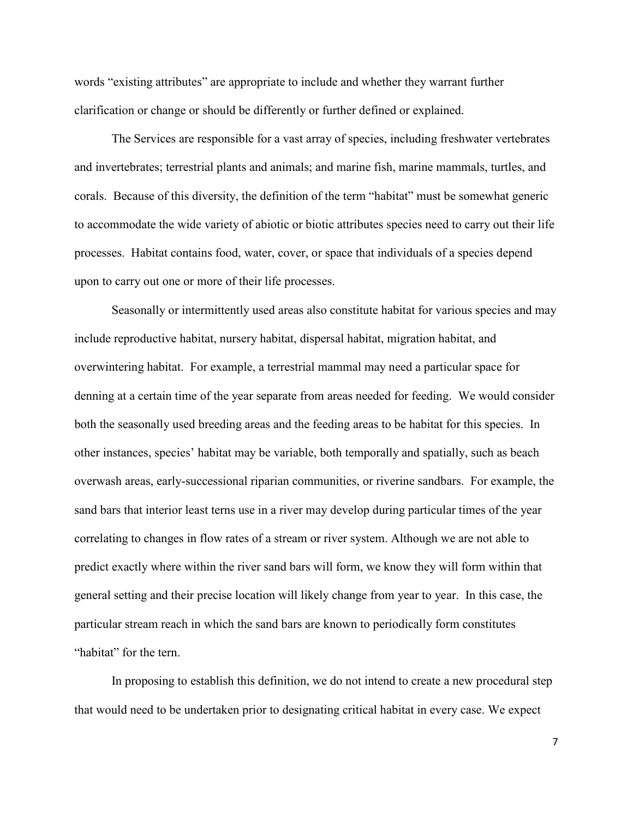words "existing attributes" are appropriate to include and whether they warrant further clarification or change or should be differently or further defined or explained.

The Services are responsible for a vast array of species, including freshwater vertebrates and invertebrates; terrestrial plants and animals; and marine fish, marine mammals, turtles, and corals. Because of this diversity, the definition of the term "habitat" must be somewhat generic to accommodate the wide variety of abiotic or biotic attributes species need to carry out their life processes. Habitat contains food, water, cover, or space that individuals of a species depend upon to carry out one or more of their life processes.

 Seasonally or intermittently used areas also constitute habitat for various species and may include reproductive habitat, nursery habitat, dispersal habitat, migration habitat, and overwintering habitat. For example, a terrestrial mammal may need a particular space for denning at a certain time of the year separate from areas needed for feeding. We would consider both the seasonally used breeding areas and the feeding areas to be habitat for this species. In other instances, species' habitat may be variable, both temporally and spatially, such as beach overwash areas, early-successional riparian communities, or riverine sandbars. For example, the sand bars that interior least terns use in a river may develop during particular times of the year correlating to changes in flow rates of a stream or river system. Although we are not able to predict exactly where within the river sand bars will form, we know they will form within that general setting and their precise location will likely change from year to year. In this case, the particular stream reach in which the sand bars are known to periodically form constitutes "habitat" for the tern.

In proposing to establish this definition, we do not intend to create a new procedural step that would need to be undertaken prior to designating critical habitat in every case. We expect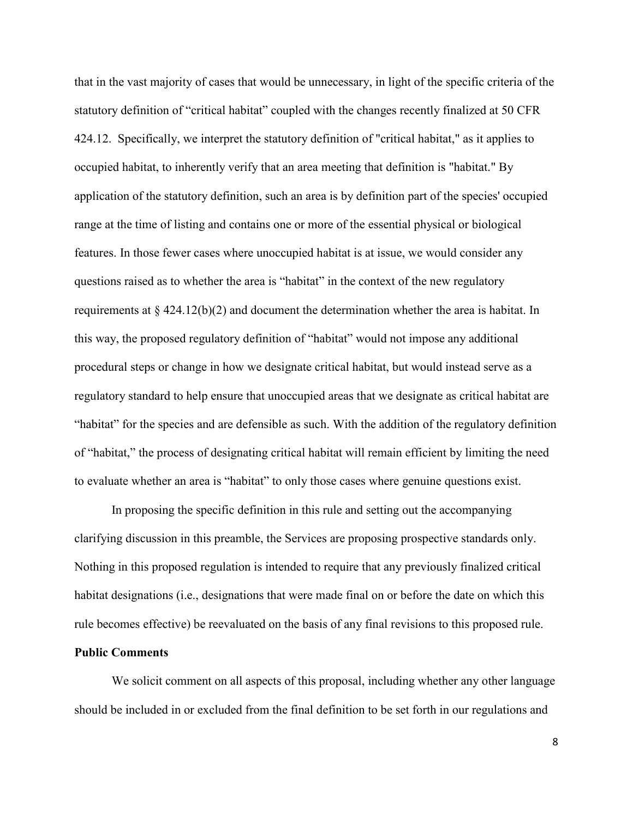that in the vast majority of cases that would be unnecessary, in light of the specific criteria of the statutory definition of "critical habitat" coupled with the changes recently finalized at 50 CFR 424.12. Specifically, we interpret the statutory definition of "critical habitat," as it applies to occupied habitat, to inherently verify that an area meeting that definition is "habitat." By application of the statutory definition, such an area is by definition part of the species' occupied range at the time of listing and contains one or more of the essential physical or biological features. In those fewer cases where unoccupied habitat is at issue, we would consider any questions raised as to whether the area is "habitat" in the context of the new regulatory requirements at  $\S$  424.12(b)(2) and document the determination whether the area is habitat. In this way, the proposed regulatory definition of "habitat" would not impose any additional procedural steps or change in how we designate critical habitat, but would instead serve as a regulatory standard to help ensure that unoccupied areas that we designate as critical habitat are "habitat" for the species and are defensible as such. With the addition of the regulatory definition of "habitat," the process of designating critical habitat will remain efficient by limiting the need to evaluate whether an area is "habitat" to only those cases where genuine questions exist.

In proposing the specific definition in this rule and setting out the accompanying clarifying discussion in this preamble, the Services are proposing prospective standards only. Nothing in this proposed regulation is intended to require that any previously finalized critical habitat designations (i.e., designations that were made final on or before the date on which this rule becomes effective) be reevaluated on the basis of any final revisions to this proposed rule.

# **Public Comments**

We solicit comment on all aspects of this proposal, including whether any other language should be included in or excluded from the final definition to be set forth in our regulations and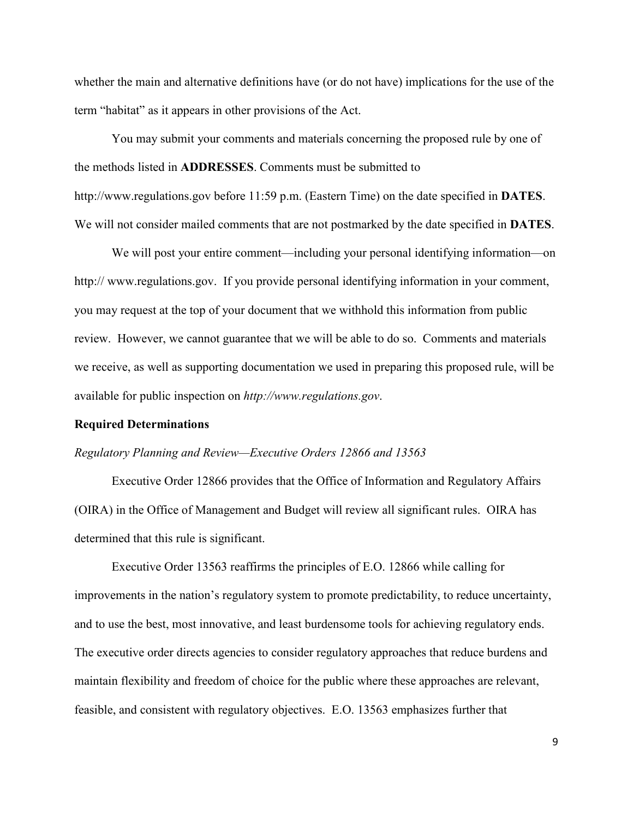whether the main and alternative definitions have (or do not have) implications for the use of the term "habitat" as it appears in other provisions of the Act.

You may submit your comments and materials concerning the proposed rule by one of the methods listed in **ADDRESSES**. Comments must be submitted to http://www.regulations.gov before 11:59 p.m. (Eastern Time) on the date specified in **DATES**. We will not consider mailed comments that are not postmarked by the date specified in **DATES**.

We will post your entire comment—including your personal identifying information—on http://www.regulations.gov. If you provide personal identifying information in your comment, you may request at the top of your document that we withhold this information from public review. However, we cannot guarantee that we will be able to do so. Comments and materials we receive, as well as supporting documentation we used in preparing this proposed rule, will be available for public inspection on *http://www.regulations.gov*.

#### **Required Determinations**

#### *Regulatory Planning and Review—Executive Orders 12866 and 13563*

Executive Order 12866 provides that the Office of Information and Regulatory Affairs (OIRA) in the Office of Management and Budget will review all significant rules. OIRA has determined that this rule is significant.

 Executive Order 13563 reaffirms the principles of E.O. 12866 while calling for improvements in the nation's regulatory system to promote predictability, to reduce uncertainty, and to use the best, most innovative, and least burdensome tools for achieving regulatory ends. The executive order directs agencies to consider regulatory approaches that reduce burdens and maintain flexibility and freedom of choice for the public where these approaches are relevant, feasible, and consistent with regulatory objectives. E.O. 13563 emphasizes further that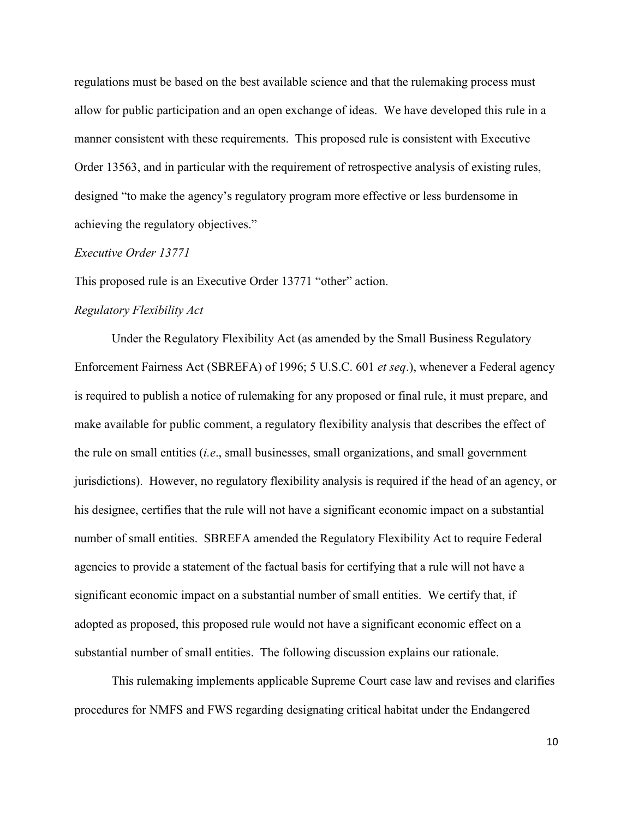regulations must be based on the best available science and that the rulemaking process must allow for public participation and an open exchange of ideas. We have developed this rule in a manner consistent with these requirements. This proposed rule is consistent with Executive Order 13563, and in particular with the requirement of retrospective analysis of existing rules, designed "to make the agency's regulatory program more effective or less burdensome in achieving the regulatory objectives."

#### *Executive Order 13771*

This proposed rule is an Executive Order 13771 "other" action.

#### *Regulatory Flexibility Act*

Under the Regulatory Flexibility Act (as amended by the Small Business Regulatory Enforcement Fairness Act (SBREFA) of 1996; 5 U.S.C. 601 *et seq*.), whenever a Federal agency is required to publish a notice of rulemaking for any proposed or final rule, it must prepare, and make available for public comment, a regulatory flexibility analysis that describes the effect of the rule on small entities (*i.e*., small businesses, small organizations, and small government jurisdictions). However, no regulatory flexibility analysis is required if the head of an agency, or his designee, certifies that the rule will not have a significant economic impact on a substantial number of small entities. SBREFA amended the Regulatory Flexibility Act to require Federal agencies to provide a statement of the factual basis for certifying that a rule will not have a significant economic impact on a substantial number of small entities. We certify that, if adopted as proposed, this proposed rule would not have a significant economic effect on a substantial number of small entities. The following discussion explains our rationale.

This rulemaking implements applicable Supreme Court case law and revises and clarifies procedures for NMFS and FWS regarding designating critical habitat under the Endangered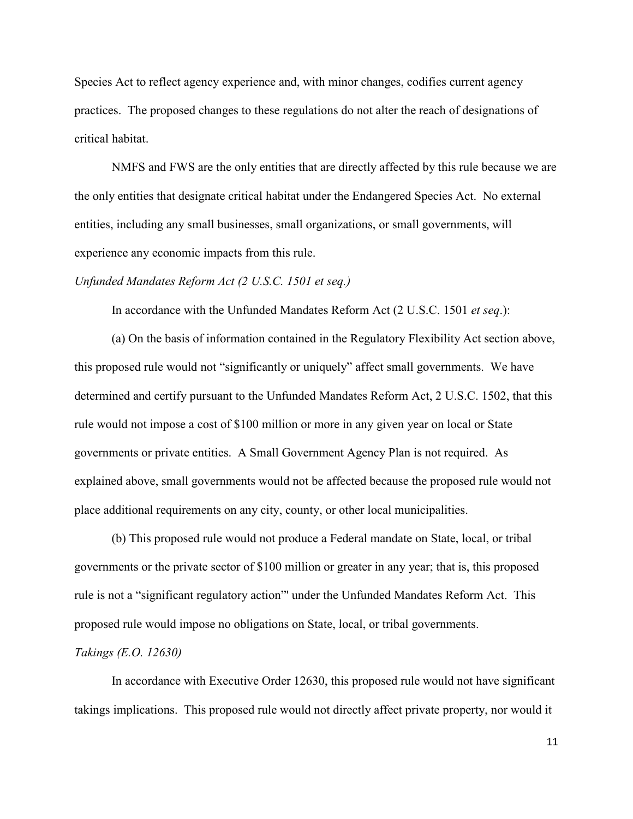Species Act to reflect agency experience and, with minor changes, codifies current agency practices. The proposed changes to these regulations do not alter the reach of designations of critical habitat.

NMFS and FWS are the only entities that are directly affected by this rule because we are the only entities that designate critical habitat under the Endangered Species Act. No external entities, including any small businesses, small organizations, or small governments, will experience any economic impacts from this rule.

#### *Unfunded Mandates Reform Act (2 U.S.C. 1501 et seq.)*

In accordance with the Unfunded Mandates Reform Act (2 U.S.C. 1501 *et seq*.):

 (a) On the basis of information contained in the Regulatory Flexibility Act section above, this proposed rule would not "significantly or uniquely" affect small governments. We have determined and certify pursuant to the Unfunded Mandates Reform Act, 2 U.S.C. 1502, that this rule would not impose a cost of \$100 million or more in any given year on local or State governments or private entities. A Small Government Agency Plan is not required. As explained above, small governments would not be affected because the proposed rule would not place additional requirements on any city, county, or other local municipalities.

(b) This proposed rule would not produce a Federal mandate on State, local, or tribal governments or the private sector of \$100 million or greater in any year; that is, this proposed rule is not a "significant regulatory action"' under the Unfunded Mandates Reform Act. This proposed rule would impose no obligations on State, local, or tribal governments.

### *Takings (E.O. 12630)*

In accordance with Executive Order 12630, this proposed rule would not have significant takings implications. This proposed rule would not directly affect private property, nor would it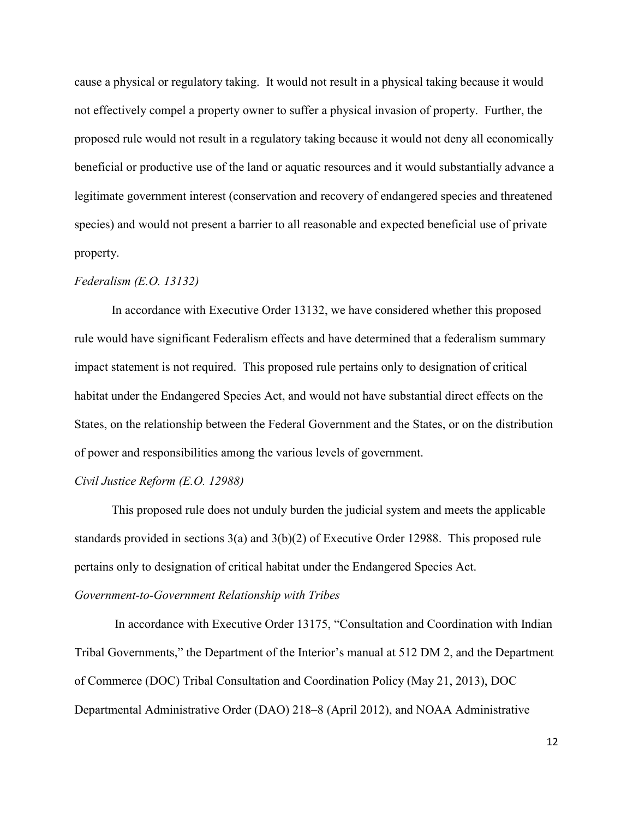cause a physical or regulatory taking. It would not result in a physical taking because it would not effectively compel a property owner to suffer a physical invasion of property. Further, the proposed rule would not result in a regulatory taking because it would not deny all economically beneficial or productive use of the land or aquatic resources and it would substantially advance a legitimate government interest (conservation and recovery of endangered species and threatened species) and would not present a barrier to all reasonable and expected beneficial use of private property.

### *Federalism (E.O. 13132)*

In accordance with Executive Order 13132, we have considered whether this proposed rule would have significant Federalism effects and have determined that a federalism summary impact statement is not required. This proposed rule pertains only to designation of critical habitat under the Endangered Species Act, and would not have substantial direct effects on the States, on the relationship between the Federal Government and the States, or on the distribution of power and responsibilities among the various levels of government.

#### *Civil Justice Reform (E.O. 12988)*

This proposed rule does not unduly burden the judicial system and meets the applicable standards provided in sections 3(a) and 3(b)(2) of Executive Order 12988. This proposed rule pertains only to designation of critical habitat under the Endangered Species Act. *Government-to-Government Relationship with Tribes*

In accordance with Executive Order 13175, "Consultation and Coordination with Indian Tribal Governments," the Department of the Interior's manual at 512 DM 2, and the Department of Commerce (DOC) Tribal Consultation and Coordination Policy (May 21, 2013), DOC Departmental Administrative Order (DAO) 218–8 (April 2012), and NOAA Administrative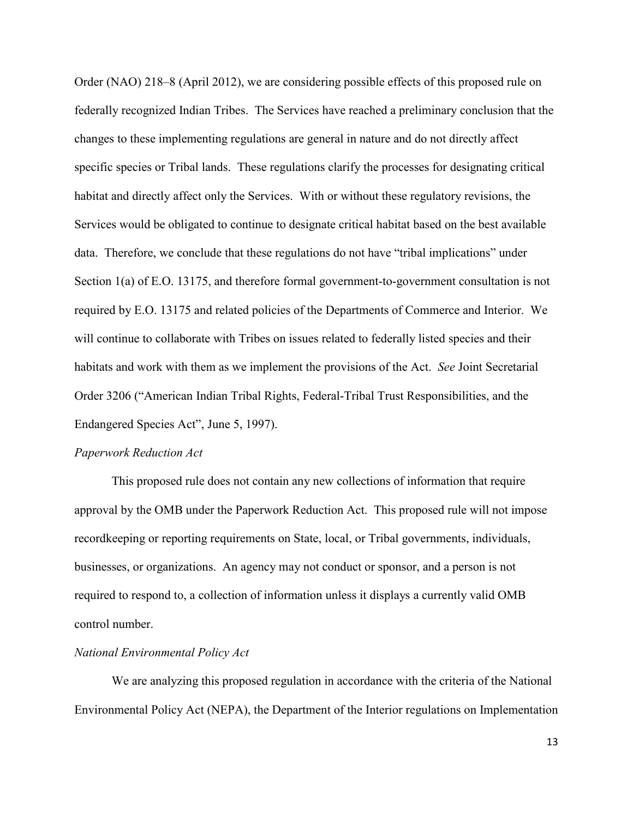Order (NAO) 218–8 (April 2012), we are considering possible effects of this proposed rule on federally recognized Indian Tribes. The Services have reached a preliminary conclusion that the changes to these implementing regulations are general in nature and do not directly affect specific species or Tribal lands. These regulations clarify the processes for designating critical habitat and directly affect only the Services. With or without these regulatory revisions, the Services would be obligated to continue to designate critical habitat based on the best available data. Therefore, we conclude that these regulations do not have "tribal implications" under Section 1(a) of E.O. 13175, and therefore formal government-to-government consultation is not required by E.O. 13175 and related policies of the Departments of Commerce and Interior. We will continue to collaborate with Tribes on issues related to federally listed species and their habitats and work with them as we implement the provisions of the Act. *See* Joint Secretarial Order 3206 ("American Indian Tribal Rights, Federal-Tribal Trust Responsibilities, and the Endangered Species Act", June 5, 1997).

### *Paperwork Reduction Act*

This proposed rule does not contain any new collections of information that require approval by the OMB under the Paperwork Reduction Act. This proposed rule will not impose recordkeeping or reporting requirements on State, local, or Tribal governments, individuals, businesses, or organizations. An agency may not conduct or sponsor, and a person is not required to respond to, a collection of information unless it displays a currently valid OMB control number.

### *National Environmental Policy Act*

We are analyzing this proposed regulation in accordance with the criteria of the National Environmental Policy Act (NEPA), the Department of the Interior regulations on Implementation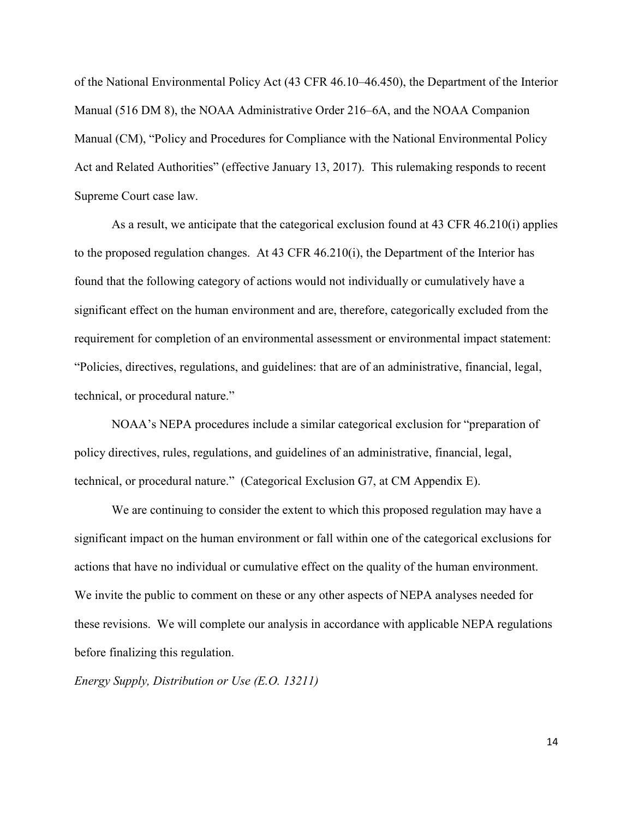of the National Environmental Policy Act (43 CFR 46.10–46.450), the Department of the Interior Manual (516 DM 8), the NOAA Administrative Order 216–6A, and the NOAA Companion Manual (CM), "Policy and Procedures for Compliance with the National Environmental Policy Act and Related Authorities" (effective January 13, 2017). This rulemaking responds to recent Supreme Court case law.

As a result, we anticipate that the categorical exclusion found at 43 CFR 46.210(i) applies to the proposed regulation changes. At 43 CFR 46.210(i), the Department of the Interior has found that the following category of actions would not individually or cumulatively have a significant effect on the human environment and are, therefore, categorically excluded from the requirement for completion of an environmental assessment or environmental impact statement: "Policies, directives, regulations, and guidelines: that are of an administrative, financial, legal, technical, or procedural nature."

NOAA's NEPA procedures include a similar categorical exclusion for "preparation of policy directives, rules, regulations, and guidelines of an administrative, financial, legal, technical, or procedural nature." (Categorical Exclusion G7, at CM Appendix E).

We are continuing to consider the extent to which this proposed regulation may have a significant impact on the human environment or fall within one of the categorical exclusions for actions that have no individual or cumulative effect on the quality of the human environment. We invite the public to comment on these or any other aspects of NEPA analyses needed for these revisions. We will complete our analysis in accordance with applicable NEPA regulations before finalizing this regulation.

*Energy Supply, Distribution or Use (E.O. 13211)*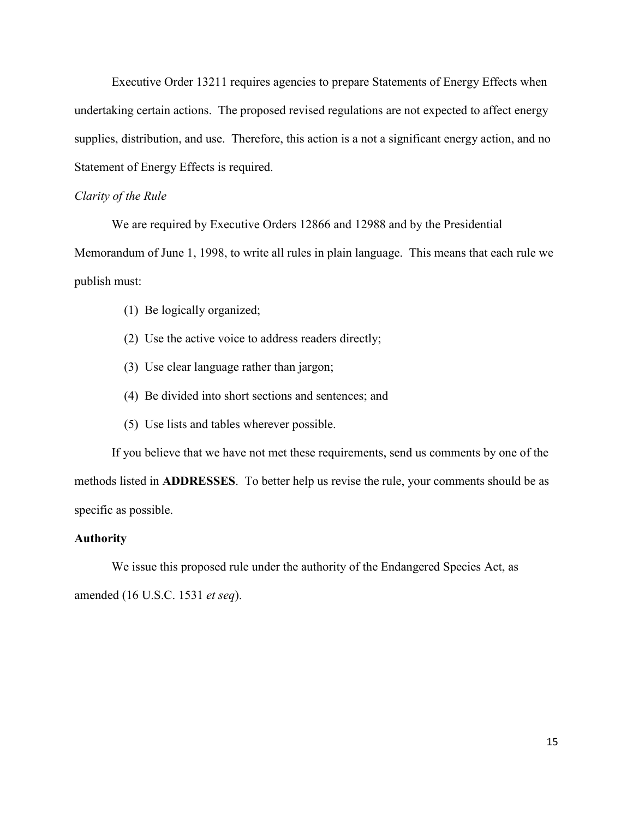Executive Order 13211 requires agencies to prepare Statements of Energy Effects when undertaking certain actions. The proposed revised regulations are not expected to affect energy supplies, distribution, and use. Therefore, this action is a not a significant energy action, and no Statement of Energy Effects is required.

### *Clarity of the Rule*

We are required by Executive Orders 12866 and 12988 and by the Presidential

Memorandum of June 1, 1998, to write all rules in plain language. This means that each rule we publish must:

- (1) Be logically organized;
- (2) Use the active voice to address readers directly;
- (3) Use clear language rather than jargon;
- (4) Be divided into short sections and sentences; and
- (5) Use lists and tables wherever possible.

 If you believe that we have not met these requirements, send us comments by one of the methods listed in **ADDRESSES**. To better help us revise the rule, your comments should be as specific as possible.

### **Authority**

We issue this proposed rule under the authority of the Endangered Species Act, as amended (16 U.S.C. 1531 *et seq*).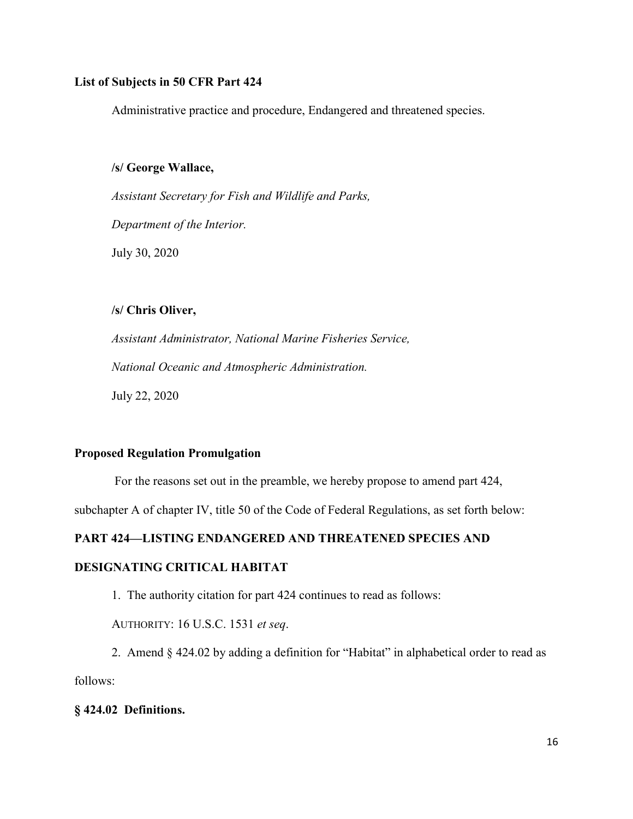### **List of Subjects in 50 CFR Part 424**

Administrative practice and procedure, Endangered and threatened species.

### **/s/ George Wallace,**

*Assistant Secretary for Fish and Wildlife and Parks, Department of the Interior.*  July 30, 2020

# **/s/ Chris Oliver,**

*Assistant Administrator, National Marine Fisheries Service, National Oceanic and Atmospheric Administration.* July 22, 2020

### **Proposed Regulation Promulgation**

For the reasons set out in the preamble, we hereby propose to amend part 424,

subchapter A of chapter IV, title 50 of the Code of Federal Regulations, as set forth below:

### **PART 424—LISTING ENDANGERED AND THREATENED SPECIES AND**

### **DESIGNATING CRITICAL HABITAT**

1. The authority citation for part 424 continues to read as follows:

AUTHORITY: 16 U.S.C. 1531 *et seq*.

2. Amend § 424.02 by adding a definition for "Habitat" in alphabetical order to read as follows:

#### **§ 424.02 Definitions.**